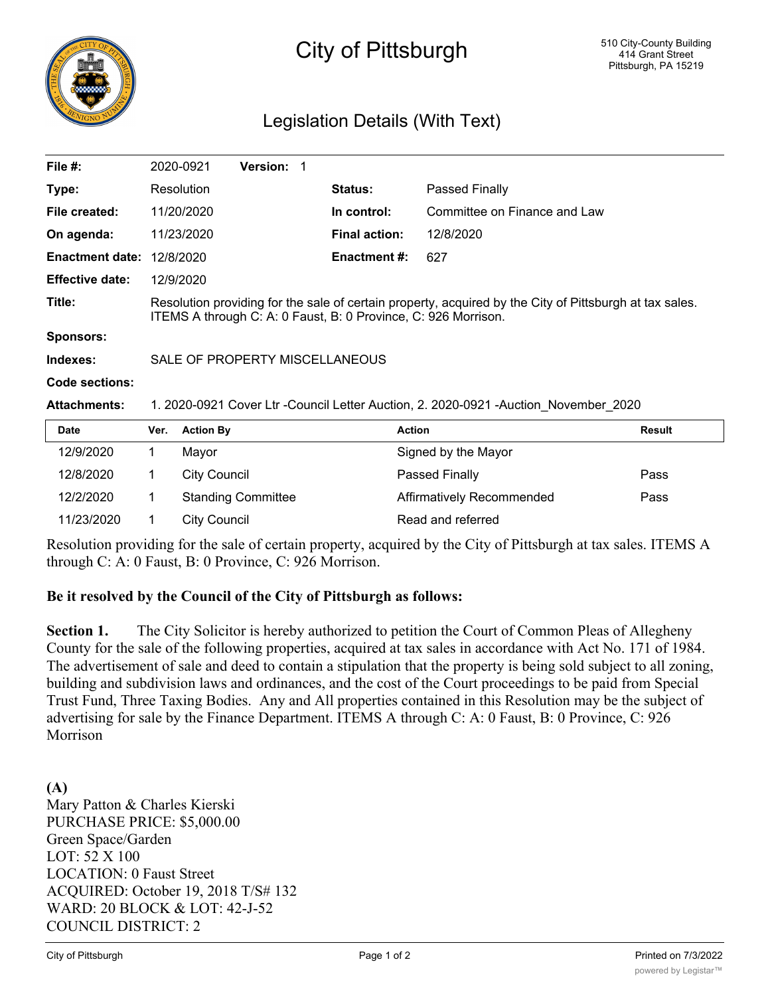

# City of Pittsburgh

# Legislation Details (With Text)

| File $#$ :             |                                                                                                                                                                           | 2020-0921           | <b>Version: 1</b>         |  |                      |                              |               |
|------------------------|---------------------------------------------------------------------------------------------------------------------------------------------------------------------------|---------------------|---------------------------|--|----------------------|------------------------------|---------------|
| Type:                  |                                                                                                                                                                           | Resolution          |                           |  | <b>Status:</b>       | Passed Finally               |               |
| File created:          |                                                                                                                                                                           | 11/20/2020          |                           |  | In control:          | Committee on Finance and Law |               |
| On agenda:             |                                                                                                                                                                           | 11/23/2020          |                           |  | <b>Final action:</b> | 12/8/2020                    |               |
| <b>Enactment date:</b> |                                                                                                                                                                           | 12/8/2020           |                           |  | <b>Enactment #:</b>  | 627                          |               |
| <b>Effective date:</b> |                                                                                                                                                                           | 12/9/2020           |                           |  |                      |                              |               |
| Title:                 | Resolution providing for the sale of certain property, acquired by the City of Pittsburgh at tax sales.<br>ITEMS A through C: A: 0 Faust, B: 0 Province, C: 926 Morrison. |                     |                           |  |                      |                              |               |
| <b>Sponsors:</b>       |                                                                                                                                                                           |                     |                           |  |                      |                              |               |
| Indexes:               | SALE OF PROPERTY MISCELLANEOUS                                                                                                                                            |                     |                           |  |                      |                              |               |
| Code sections:         |                                                                                                                                                                           |                     |                           |  |                      |                              |               |
| <b>Attachments:</b>    | 1. 2020-0921 Cover Ltr -Council Letter Auction, 2. 2020-0921 -Auction November 2020                                                                                       |                     |                           |  |                      |                              |               |
| <b>Date</b>            | Ver.                                                                                                                                                                      | <b>Action By</b>    |                           |  |                      | <b>Action</b>                | <b>Result</b> |
| 12/9/2020              | 1                                                                                                                                                                         | Mayor               |                           |  |                      | Signed by the Mayor          |               |
| 12/8/2020              | 1                                                                                                                                                                         | <b>City Council</b> |                           |  |                      | Passed Finally               | Pass          |
| 12/2/2020              |                                                                                                                                                                           |                     | <b>Standing Committee</b> |  |                      | Affirmatively Recommended    | Pass          |

Resolution providing for the sale of certain property, acquired by the City of Pittsburgh at tax sales. ITEMS A through C: A: 0 Faust, B: 0 Province, C: 926 Morrison.

#### **Be it resolved by the Council of the City of Pittsburgh as follows:**

11/23/2020 1 City Council Read and referred

**Section 1.** The City Solicitor is hereby authorized to petition the Court of Common Pleas of Allegheny County for the sale of the following properties, acquired at tax sales in accordance with Act No. 171 of 1984. The advertisement of sale and deed to contain a stipulation that the property is being sold subject to all zoning, building and subdivision laws and ordinances, and the cost of the Court proceedings to be paid from Special Trust Fund, Three Taxing Bodies. Any and All properties contained in this Resolution may be the subject of advertising for sale by the Finance Department. ITEMS A through C: A: 0 Faust, B: 0 Province, C: 926 Morrison

**(A)** Mary Patton & Charles Kierski PURCHASE PRICE: \$5,000.00 Green Space/Garden LOT: 52 X 100 LOCATION: 0 Faust Street ACQUIRED: October 19, 2018 T/S# 132 WARD: 20 BLOCK & LOT: 42-J-52 COUNCIL DISTRICT: 2